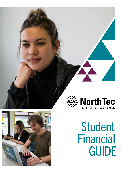



# Student **Financial** GUIDE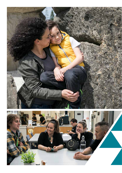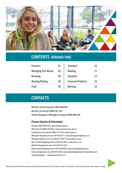

# CONTENTS RĀRANGI TAKE

| Contacts                   | 01 | Transport                 | 10 |
|----------------------------|----|---------------------------|----|
| <b>Managing Your Money</b> | 02 | <b>Banking</b>            | 11 |
| <b>Boarding</b>            | 04 | <b>Studylink</b>          | 12 |
| Renting/Flatting           | 05 | <b>Financial Problems</b> | 15 |
| Food                       | 08 | Working                   | 16 |
|                            |    |                           |    |

# **CONTACTS**

NorthTec General Enquiries 0800 808 856 NorthTec Enrolments 0800 162 100 Student Navigators (Whangārei to Kaitaia) 0800 808 856

#### Finance Queries & Information

Studylink 0800 88 99 00 or www.studylink.govt.nz Work & Income 0800 559 009 or www.workandincome.govt.nz Inland Revenue Department 0800 377 778 or www.ird.govt.nz Whangārei Budgeting Services (09) 430 0177 or www.whangareibudgeting.co.nz Whangārei Anglican Care Trust (09) 437 6397 or www.whgcare.org.nz Bay of Islands Budgeting Services (09) 404 1582 or www.boibs.co.nz Mid North Budgeting Service Trust (09) 401 2216 Kaitaia Family Budgeting Service (09) 408 0026 or www.familybudgeting.org.nz Kaipara Budgeting Service (09) 946 5440 or www.kaiparabudgetingservice.wordpress.com Student Navigators – navigator@northtec.ac.nz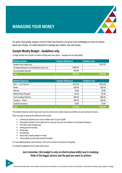# MANAGING YOUR MONEY

For quite a few people, being in control of their own finances can prove to be challenging so if you are serious about your studies, it's really important to manage your studies, time and money.

#### Sample Weekly Budget - Guidelines only

(a single student over 24 with no children flatting with three others – Average rent per week \$405)

| <b>Weekly Income</b>                              | Student Allowance | Student Loan |
|---------------------------------------------------|-------------------|--------------|
| <b>Student Loan Living Costs</b>                  |                   | \$230.00     |
| Or Student Allowance Full Entitlement (after Tax) | \$300.00          |              |
| <b>Accommodation Benefit</b>                      | \$40.00           |              |
| <b>Total</b>                                      | \$340.00          | \$230.00     |

| <b>Weekly Expenses</b>           | <b>Student Allowance</b> | <b>Student Loan</b> |
|----------------------------------|--------------------------|---------------------|
| $Rent - 1/3$ of full rent        | \$135.00                 | \$135.00            |
| Power                            | \$20.00                  | \$20.00             |
| Internet                         | \$7.00                   | \$7.00              |
| Mobile Phone (Prepaid)           | \$5.00                   | \$5.00              |
| <b>Food including Toiletries</b> | \$80.00                  | \$80.00             |
| Transport - Petrol               | \$20.00                  | \$20.00             |
| Contents Insurance               | \$7.00                   | \$7.00              |
| <b>Total</b>                     | \$274.00                 | \$274.00            |

The student allowance and/or living costs may not cover all your weekly expenses and these are just covering the basics.

There are ways to make up the difference that include:

- Claiming the Student Loan course-related costs of up to \$1,000
- Claiming the Student Loan Living Costs as a top-up if you are not entitled to a full student allowance
- Part-time and/or holiday work
- Having personal savings
- Family help

**2**

- **Scholarships**
- Board with a family member or friend
- Tertiary Bank account with overdraft facilities

For free budgeting advice and assistance, refer to the contacts at the back of this guide

Try using the budgeting tools at www.sorted.org.nz

#### Just remember, this budget is only an interim phase whilst you're studying think of the bigger picture and the goal you want to achieve.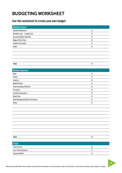# BUDGETING WORKSHEET

# Use this worksheet to create your own budget

| <b>Weekly Income</b>         |  |
|------------------------------|--|
| <b>Student Allowance</b>     |  |
| Student Loan - Living Costs  |  |
| <b>Accommodation Benefit</b> |  |
| Wages (Part-Time)            |  |
| <b>Family Tax Credits</b>    |  |
| Other                        |  |
|                              |  |
|                              |  |
|                              |  |
|                              |  |
| <b>Total</b>                 |  |

| <b>Weekly Expenses</b>           |    |
|----------------------------------|----|
| Rent                             | J. |
| Power                            |    |
| Internet                         |    |
| <b>Mobile Phone</b>              |    |
| <b>Food including Toiletries</b> |    |
| Transport                        |    |
| <b>Contents Insurance</b>        |    |
| <b>Bank Fees</b>                 |    |
| Debt Repayments/Hire Purchases   |    |
| <b>Other</b>                     |    |

| Total | æ<br>- 11 |
|-------|-----------|
|       |           |

| <b>Totals</b>       |    |
|---------------------|----|
| Total Income        |    |
| Less Total Expenses | ۰D |
| Surplus/Deficit     |    |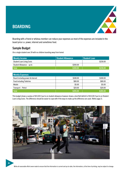# BOARDING

Boarding with a friend or whänau member can reduce your expenses as most of the expenses are included in the board price i.e. power, internet and sometimes food.

#### Sample Budget

(for a single student over 24 with no children boarding away from home)

| <b>Weekly Income</b>             | <b>Student Allowance</b> | <b>Student Loan</b> |
|----------------------------------|--------------------------|---------------------|
| <b>Student Loan Living Costs</b> |                          | \$230.00            |
| Student Allowance - up to        | \$300.00                 |                     |
| <b>Total</b>                     | \$300.00                 | \$230.00            |
|                                  |                          |                     |
| <b>Weekly Expenses</b>           |                          |                     |
| Board including power & internet | \$180.00                 | \$180.00            |
| <b>Food including Toiletries</b> | \$80.00                  | \$80.00             |
| Mobile                           | \$5.00                   | \$5.00              |
| Transport - Petrol               | \$20.00                  | \$20.00             |
| <b>Total</b>                     | \$285.00                 | \$285.00            |

This budget shows a surplus of \$15.00 if you're on student allowance however shows a shortfall (deficit) of \$15.00 if you're on Student Loan Living Costs. The difference should be easier to cope with if the ways to make up the difference are used. (Refer page 2).

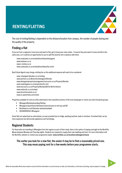# RENTING/FLATTING

The cost of renting/flatting is dependent on the distance/location from campus, the number of people sharing and the quality of the property.

## Finding a flat

If you are from a regional or local area and want to flat, get to know your class mates. It may be they also want to move and flat in the same area, so it could be an opportunity for you to split the bond & rent in advance with them.

www.realestate.co.nz/rental/all/northland/whangarei www.trademe.co.nz www.i-rentals.co.nz www.realestate.co.nz/rental/all/northland/far-north

Real Estate Agents may charge a letting fee so this additional expense will need to be considered

www. whangarei.ljhooker.co.nz/renting www.barfoot.co.nz/Branches/whangarei/Rentals www.whangareipropertymanagement.harcourts.co.nz/Property/Rentals www.rwwhangarei.co.nz/properties/for-rent www.harcourts.co.nz/Property/Rentals/All/Far-North-District www.midnorth.co.nz/rentals/ www.farnorthcoastal.co.nz/ www.nz.open2view.com/rental

Properties available for rent are often advertised in the classified sections of the local newspaper or check out some Facebook groups:

- WhangareiRenting/boarding/flatting
- Whangarei Apartments/flatmates/rooms/houses to rent buy sell NZ
- Northland-to rent/flatmates wanted/available
- HOUSERENTALS Whangarei

Some flats are advertised as unfurnished, an oven provided but no fridge, washing machine, beds or furniture. Furnished flats can be more expensive but will provide appliances and furnishings.

#### Regional Students

For those who are travelling to Whangārei from the regions as part of their study, there is the option of staying overnight at the NorthTec Marae between Monday and Thursday nights. Students are required to supply their own bedding and food. For more information visit the NorthTec website or contact your programme leader. www.northtec.ac.nz/locations/whangarei/marae

#### The earlier you look for a new flat, the easier it may be to find a reasonably priced one. This may mean paying rent for a few weeks before your programme starts.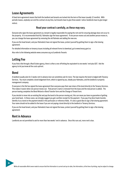## Lease Agreements

A fixed-term agreement means that both the landlord and tenants are locked into the term of the lease (usually 12 months). With periodic leases, anybody can end the contract at any time, but tenants have to give three weeks' notice (landlords have to give longer notice).

#### Read your contract carefully, as these may vary.

Everyone who signs the lease agreement as a tenant is legally responsible for paying the rent and for ensuring damage does not occur to the property. It is recommended that ALL flatmates sign the lease agreement. If one person moves out and another person moves in, you can change the lease agreement by removing the old flatmate and adding the new one.

If you are the head tenant, and your flatmate(s) have not signed the lease, protect yourself by getting them to sign a flat-sharing agreement.

For detailed information on tenancy issues including all relevant forms to download, go to www.tenacy.govt.nz

Also refer to the following website www.consumer.org.nz/Landlords-Tenants

# Letting Fee

If you find a flat through a Real Estate agency, there is often a one-off letting fee equivalent to one weeks' rent plus GST. Ask the agency to let you know all the costs upfront.

#### Bond

A landlord usually asks for 2 weeks rent in advance but can sometimes ask for more. The law requires the bond is lodged with Tenancy Services. You must complete a bond lodgement form, which is signed by you, ideally your flatmates, and the landlord or property management company.

If everyone in the flat has signed the lease agreement then everyone pays their own share of the bond directly to the Tenancy Services. This makes it easier when one person moves out. That person's name is removed from the lease and the new person is added. The person leaving completes the Bond Refund or Bond Transfer form and the Change of Tenant form.

If you decide to move into an existing flat and pay the bond to the person moving out, this can mean you have no guarantee of getting your bond back. In these cases, we strongly suggest you get a written receipt for the payment. If you pay it by direct bank transfer, identify it as a bond on the payment details in the particulars or reference fields. It's also a good idea to sign a flat-sharing agreement. Your name should not be added to the lease if you are not paying a bond directly to the landlord or Tenancy Services.

If you are the head tenant, and your flatmate(s) have not signed the lease, protect yourself by getting them to sign a flat-sharing agreement.

## Rent in Advance

**6**

Landlords are not permitted to ask for more than two weeks' rent in advance. Once this runs out, more rent is due.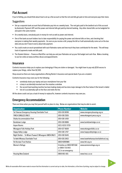# Flat Account

If you're flatting, you should think about how to set up a flat account so that the rent and bills get paid on time and everyone pays their share.

#### **Suggestions**

- Set up a separate bank account that all flatmates pay into on a weekly basis. The rent gets paid to the landlord out of this account by Automatic Payment (AP) and the power and internet bills get paid by internet banking. Any other shared bills can be budgeted for and paid in the same manner.
- On a weekly basis, everybody puts in money for rent as well as power and internet.
- One of the bank account holders has to take responsibility for paying the power and internet bills on time, and checking that everyone is making their weekly payments. As soon as you receive a bill, prepay the bill so it will automatically come out on the due date and you don't have to worry about late payment.
- You could create an excel spreadsheet with each flatmates name and how much they have contributed for the week. This will keep track of payments made and bills paid.
- The Student Advisor Finance at NorthTec can help you and your flatmates set up your flat budget and cash-flow. Make a booking to see her online at www.northtec.libcal.com/appointments

#### **Insurance**

Contents insurance helps you to replace your belongings if they are stolen or damaged. You might have to pay only \$250 excess to replace your things, rather than \$2,500.

Shop around as there are many organisations offering Renter's Insurance and special deals if you are a student.

Contents Insurance may cover you for the following:

- somebody steals your laptop and your smartphone from your flat
- a lamp is accidentally knocked over the smashes a window
- the second hand washing machine has been leaking slowly and has done major damage to the floor below it (the tenant is liable)
- hot oil is accidentally spilt on the floor and melts the lino

All the above could cost you a load of money to replace/fix, however contents insurance may save you.

# Emergency Accommodation

There are times when you may find yourself with no place to stay. Below are organisations that may be able to assist.

| <b>Organisation</b>                                    | <b>Phone Number</b>       | Website                             |
|--------------------------------------------------------|---------------------------|-------------------------------------|
| Tai Tokerau Emergency Housing Charitable Trust         | (09) 430 8098             | www.emergencyhousing.org.nz         |
| YWCA (SINGLES ONLY)                                    | (09) 438 2926             | www.whangarei.ywca.org.nz           |
| Otaika Accommodation Park                              | (09) 438 1459             |                                     |
| Bunkdown Lodge                                         | $(09)$ 438 8886           | www.bunkdownlodge.co.nz             |
| Aspen Rooms                                            | (021) 0233 3729           |                                     |
| Whangarei Falls Holiday Park                           | $(09)$ 437 0609           | www.whangareifalls.co.nz            |
| Happy Valley Lodge                                     | $(09)$ 438 1707           | www.happyvalleylodge.co.nz          |
| Night Shelter - Te Whare Puawai 0 Whangarei (MEN ONLY) | $(09)$ 438 5645           |                                     |
| Te Awhi Whanau Charitable Trust                        | (09) 430 2403             | www.teawhiwhanaucharitabletrust.org |
| He Korowai Trust Kaitaia                               | 0800 KOROWAI              | www.hkt.org.nz                      |
| Women's Refuge                                         | Crisisline on 0800 REFUGE | www.womensrefuge.org.nz             |
|                                                        | or 0800 733 843           |                                     |
|                                                        | 111 in an emergency       |                                     |
| <b>Housing New Zealand</b>                             | 0800 801 601              | www.hnzc.co.nz                      |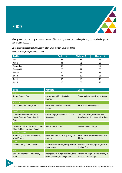# FOOD

Weekly food costs can vary from week to week. When looking at fresh fruit and vegetables, it is usually cheaper to buy what is in season.

Below is information collated by the Department of Human Nutrition, University of Otago

Estimated Weekly Family Food Costs – 2016

| <b>Auckland</b>     | <b>Basic</b><br>\$ | Moderate \$ | <b>Liberal</b><br>C |
|---------------------|--------------------|-------------|---------------------|
| Man                 | 64                 | 83          | 100                 |
| Woman               | 55                 | 71          | 85                  |
| <b>Teenage Boy</b>  | 67                 | 88          | 105                 |
| <b>Teenage Girl</b> | 55                 | 72          | 86                  |
| 10yr old            | 47                 | 61          | 74                  |
| 5yr old             | 40                 | 52          | 63                  |
| 4yr old             | 31                 | 40          | 48                  |
| 1yr old             | 27                 | 35          | 42                  |

| <b>Basic</b>                                                                                | <b>Moderate</b>                                                                   | <b>Liberal</b>                                                                           |
|---------------------------------------------------------------------------------------------|-----------------------------------------------------------------------------------|------------------------------------------------------------------------------------------|
| Fruit                                                                                       |                                                                                   |                                                                                          |
| Apples, Bananas, Pears                                                                      | Oranges, Canned Fruit, Nectarines,<br>Peaches                                     | Feijoas, Apricots, Fresh & Frozen Berries                                                |
| Vegetables                                                                                  |                                                                                   |                                                                                          |
| Carrots, Pumpkin, Cabbage, Onions                                                           | Mushrooms, Tomatoes, Cauliflower,<br><b>Broccoli</b>                              | Spinach, Avocado, Courgettes                                                             |
| <b>Meat &amp; Poultry</b>                                                                   |                                                                                   |                                                                                          |
| Chicken Pieces (drumsticks, frozen<br>pieces), Sausages, Corned Silverside,<br><b>Mince</b> | Chicken Thighs, Ham, Pork Chops, Beef<br>stewing cuts                             | Lamb Steaks, Salami, Porterhouse Steak,<br>Rump Steak, Pork diced pieces, Chicken Breast |
| Fish                                                                                        |                                                                                   |                                                                                          |
| Canned Fish, Whole Fish, Frozen crumbed<br>fillets, Red Cod, Hoki, Monk, Trevally           | Sole, Terakihi, Gurnard                                                           | <b>Blue Cod, Salmon, Snapper</b>                                                         |
| <b>Breakfast Cereals</b>                                                                    |                                                                                   |                                                                                          |
| Rolled Oats, Cornflakes, Rice Bubbles,<br><b>Wheat Biscuits</b>                             | Muesli, Extruded Cereals (E.g. Nutrigrain,<br>Cheerios)                           | Bircher Muesli, Toasted Muesli with Fruit<br>& Nuts                                      |
| <b>Cheese</b>                                                                               |                                                                                   |                                                                                          |
| Cheddar - Tasty, Edam, Colby, Mild                                                          | Processed Cheese Slices, Cottage Cheese,<br><b>Cream Cheese</b>                   | Parmesan, Mozzarella, Specialty cheeses<br>(E.g. brie, feta)                             |
| <b>Bread</b>                                                                                |                                                                                   |                                                                                          |
| Sliced packaged bread - Wholemeal,<br>White                                                 | Sliced packaged multigrain varieties, Fruit<br>bread, Bread rolls, Hamburger buns | Pita pockets, Wraps, Specialty breads (e.g.<br>Focaccia, Ciabatta), Bagels               |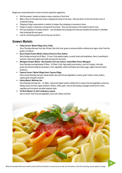Budget your money wisely when it comes to food by using these suggestions:

- Visit the growers' markets as below to enjoy a selection of fresh food
- Make a menu for the week and create a shopping list based on the menu. Only buy what is on the list and steer clear of compulsive buying.
- Shopping at larger supermarkets or markets is cheaper than shopping at convenience stores.
- Eating on campus is expensive so bring lunch from home. There are microwaves in the student common room.
- Don't go shopping on an empty stomach you will always end up buying more than you intended and usually it's unhealthy food containing fats and sugars
- Look for community gardens and see how you can link in.

#### Growers Markets

- Paihia Farmers' Market Village Green, Paihia Every Thursday afternoon from 2pm till dusk. Buy fresh food, grown or produced within a defined local region, direct from the grower or producer.
- Bay of Islands Farmers Market, Hobson Street Car Park, Kerikeri Every Sunday morning from 8.30am - 12 noon. From weekly staples, to exotic treats and temptations, there's something for everyone. Soak up the sights and smells and enjoy the live music.
- Whangarei Growers Market New Zealand's first-ever farmers' market Water Street, Whangarei Every Saturday morning between 6.30am - 10.30am. Fresh, high quality local produce, much of it organic, all locally grown and sold personally by the growers. Fruit, vegetables, plants and flowers plus honey, eggs, organic beef and oyster producers.
- Paparoa Farmers' Market Village Green, Paparoa Village Every second Saturday morning. Casual vendors also sell fruit and vegetables in season, goat's cheese, honey, flowers, organic garlic and garlic products.
- Kaitaia Market, Matthews Ave Every Saturday morning 7am – 12.30pm. Casual and regular vendors selling fresh in-season fruit and vegetables, preserves, baking, bread, hot food, organic products, flowers, coffee, garlic, olive oil and boutique sausages as well as bric a brac, vegetable and fruit plants and white elephant stalls.
- Far North Market, St John's Ambulance carpark Once a month. Fresh fruit and vegetables, local craft, flowers and food.

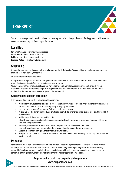# **TRANSPORT**

Transport always proves to be difficult and can be a big part of your budget. Instead of using your car which can be costly to maintain, try a different type of transport.

### Local Bus

City Link Whangarei – Refer to www.citylink.co.nz Mid North link – Refer to www.buslink.co.nz Hokianga Link – Refer to www.buslink.co.nz Busabout Kaitaia – Refer to www.buslink.co.nz

# **Carpooling**

A car can be convenient but they are costly to maintain and keep legal. Registration, Warrant of Fitness, maintenance and insurance often add up to more than \$1,000 per year.

Go to the website www.carpoolworld.com

Simply click on the "Sign Up!" button to set up a personal account and enter details of your trip. Once you have created your account, you are free to search the site for other commuters who want to carpool.

You may search for those who live close to you, who have similar schedules, or who have similar driving preferences. If you are interested in carpooling with someone, simply click the provided link to send them an email, or call them if they provide a phone number. From there you are free to make arrangements that suit you both.

#### Getting the most out of carpooling

There are some things you can do to make carpooling work for you:

- Decide who will drive (it can be one person or you can take turns), what route you'll take, where passengers will be picked up and dropped off, and if it's okay to make stops along the way (e.g. for coffee).
- Start carpooling a couple of days a week. Try it out to see if it works for you.
- Be punctual and decide how long you'll wait for late passengers. If the driver or passenger is going to be late, they should let the others know.
- Decide how you'll share petrol and parking costs.
- Establish some ground rules about whether or not smoking is allowed, if music can be played, and if food and drink can be consumed during the commute.
- Make sure you drive carefully, keep the car clean and in good repair and your insurance up to date.
- Ensure all carpool members have each other's home, work and mobile numbers in case of emergencies.
- Agree on an alternative travel plan, should the driver be unavailable.
- Give your carpool time to run smoothly. It usually takes a few weeks. But once established, you'll find carpooling really is the smarter alternative.

#### **Disclaimer**

**10**

Participation in this carpool programme is your individual decision. This service is provided solely as a referral service for potential carpool partners. It does not assess the suitability of individuals participating in the carpool programme. Participants are solely responsible for determining whether and when it is appropriate to meet with or share personal information with potential carpool partners. It is the responsibility of participants to ensure they are insured to participate in a carpool.

#### Register online to join the carpool matching service www.carpoolworld.com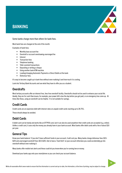# **BANKING**

Some banks charge more than others for bank fees.

Most bank fees are charged at the end of the month.

Examples of bank fees:

- Monthly base account fee
- Overdraft or account overdrawing unarranged fee
- **Interest**
- Transaction fees
- Telephone banking
- Teller assisted transactions
- Depositing or writing a cheque
- Using another bank ATM machine
- Loading/changing Automatic Payments or Direct Debits at the bank
- Dishonour fees.

It's easy to become caught up in bank fees without even realising it and how much it is costing.

Look into Tertiary Bank Accounts and see what they have to offer you as a student.

# **Overdrafts**

Most tertiary accounts offer an interest free, fees free overdraft facility. Overdrafts should not be used to enhance your social life. Ideally, they are for cash-flow issues; for example, your power bill is due the day before you get paid, or an emergency has come up. At times like these, using an overdraft can be helpful. It is not suitable for savings.

## Credit Cards

Credit cards are an expensive debt with interest rates on unpaid credit cards reaching up to 28.75%.

These should always be avoided.

# Debit Cards

A debit card can be handy and works like an EFTPOS card, but it can also be used anywhere that credit cards are accepted (e.g. online). Unlike a credit card, it uses only the money you already have in your bank account. Most banks offer debit cards with a fee of about \$10 per year.

# General Tips

Know your bank balance! If you don't have sufficient funds in your account, it will cost you. Many banks charge dishonour fees (\$15- \$20) and unarranged overdraft fees (\$15-\$20). Ask to have a 'hard limit' on your account otherwise you could accidentally go into overdraft without even realising it.

Many banks offer mobile text alerts and these could let you know when you're running low on money.

Download your banks app onto your smartphone so you can check your account balance.

K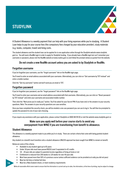# **STUDYLINK**



A Student Allowance is a weekly payment that can help with your living expenses while you're studying. A Student Loan helps to pay for your course fees (the compulsory fees charged by your education provider), study materials (e.g. books, computer, travel) and living costs.

The student allowance and the student loan can be applied for in one application online through the Studylink website www.studylink. govt.nz. You will need a RealMe login in order to apply for Studylink funding. If you already have a RealMe login but can't remember your username or password, please visit the RealMe website at www.realme.govt.nz and follow the prompts below as quoted from the website.

#### Do not create a new RealMe account unless you are asked to by Studylink or RealMe.

#### Forgotten username

If you've forgotten your username, use the "forgot username" link on the RealMe login page.

You'll need to enter an email address associated with your username. Alternatively, you can click on "Get username by TXT instead" and enter a mobile number.

Click the "Get my username" button and we'll send you an email or TXT.

#### Forgotten password

If you've forgotten your password, use the "forgot password" link on the RealMe login page.

You'll need to enter your username and an email address associated with that username. Alternatively, you can click on "Reset password by TXT instead" and enter your username and associated mobile number.

Then click the "Next prove you're really you" button. You'll be asked for your Secret PIN (if you have one) or the answers to your security questions. Note: The answers to your security questions are case sensitive.

Once you have completed the security check, you will be emailed a one-use password you can use to log in. You will then be prompted to update the password to one of your own choosing.

If you require any assistance with your application, please contact Studylink on 0800 88 99 00 or visit the website www.studylink.govt.nz

#### Make sure you apply well before your course starts to avoid any overpayment from WINZ if you are transitioning from benefit to allowance.

#### Student Allowance

The allowance is a weekly payment made to you while you're in study. There are certain criteria that come with being granted student allowance.

Any student on a benefit must transition onto a student allowance UNLESS approval has been sought from WINZ to remain on benefit.

Below are some of the criteria:

**12**

- Available to any student aged up to 65 years
- Under 18 year olds must have passed NCEA Level 3 equivalent to 42 credits
- $18 24$  year olds are subject to parental income regardless of living at home or not
- Entitlement is reduced from 200 weeks to 120 weeks for over 40 year olds
- Must have passed more than 50% of a previous course (unless sufficient evidence can be provided as to why you did not pass)
- Must be full-time or limited full-time
- Must be a New Zealand citizen, or meet residency requirements

While all reasonable efforts were made to ensure that the information is current and up-to-date, the information, at the time of printing, may be subject to change.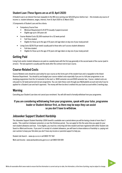#### Student Loan (These figures are as at 01 April 2020)

A Student Loan is an interest free loan repayable to the IRD once earning over \$20,020 gross (before tax) – this includes any source of income i.e. student allowance, wages, interest, from 01 April 2020 to 31 March 2021.

3 Components of Student Loan and the criteria:

- Compulsory Course Fees
	- Minimum Requirement 0.25 EFTS (usually 2 papers/courses)
	- Eligible age up to 100 years old
- Course-Related Costs (\$1,000 maximum for a 52 week period)
	- Full-Time student
	- Eligible for those up to the age of 55 years old (age taken on day one of your study period)
- Living Costs (\$239.76 per week) usually paid to those who can't access student allowance
	- Full-time student
	- Eligible for those up to the age of 55 years old (age taken on day one of your study period)

## Getting Paid

Living Costs and/or student allowance are paid on a weekly basis with the first pay generally in the second week of the course (paid in arrears). The last payment is usually paid the week after the contract end of your course.

# Course-Related Costs

Course-Related costs should be used solely for your course as this forms part of the student loan and is repayable to the Inland Revenue Department. You should try and budget your course-related costs especially if you are in a full-year programme or are studying programmes from the 1st semester to the next i.e. \$500 semester one and \$500 semester two. Course -related costs are only paid in a 52 week period and not per programme. You can claim these costs through your MyStudylink account and only if you've applied for a Student Loan and had it approved. The money will then be direct credited into your bank account within 2 working days.

## Warning

Cancelling your Student Loan does not cancel your enrolment. You will still need to formally withdraw from your programme.

#### If you are considering withdrawing from your programme, speak with your tutor, programme leader or Student Advisor first, as there may be ways they can assist so you don't have to withdraw.

## Jobseeker Support Student Hardship

The Jobseeker Support Student Hardship (JSSH) benefit is available over a period where you will be having a break of more than 3 weeks. This could be in between semesters or over the Christmas period. You can apply for this the same time you apply for your next student allowance and loan. To be eligible, you must be a returning full-time student and have registered with either Student Job Search or Work and Income. If you aren't in receipt of a student allowance, you will have to show evidence of hardship i.e. paying rent over summer to keep your flat when you don't have any income or parental support to help you.

Student Job Search – www.sjs.co.nz or call 0800 757 562

Work and Income - www.workandincome.govt.nz or call 0800 559 009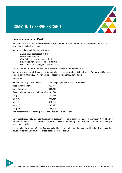# COMMUNITY SERVICES CARD

## Community Services Card

The Community Services Card can help you and your family with the costs of health care. You'll pay less on some health services and prescriptions simply by showing your card.

You may get the Community Services Card if you are:

- 16 years or over (not a dependent child)
- on a low to middle-income
- a New Zealand citizen or permanent resident
- normally live in New Zealand and intend to stay here
- have, or have applied for, refugee or protection status.

If you're 16-17, you may be able to get a card if you're studying full-time at a university or polytechnic.

You must be on a low to middle-income to get a Community Services card which includes student allowance. The current limit for a single person living with others is \$26,330 before tax and a single person living alone \$27,924 before tax.

Income limits

| You may be able to get a card if you're                        | And your yearly income (before tax) is less than |
|----------------------------------------------------------------|--------------------------------------------------|
| Single - living with others                                    | \$27,590                                         |
| Single - living alone                                          | \$29,280                                         |
| Married, civil union or de facto couple - no children \$43,784 |                                                  |
| Family of 2                                                    | \$53,480                                         |
| Family of 3                                                    | \$65,829                                         |
| Family of 4                                                    | \$75,945                                         |
| Family of 5                                                    | \$85,882                                         |
| Family of 6                                                    | \$96,819                                         |

For families of more than 6, the limit goes up another \$9,812 for each extra person.

You will need to complete the application form along with 3 documents as proof of identity and send it to Seniors Support Centre, Ministry of Social Development, P O Box 5054, Wellington. The application forms can be found at your local WINZ office, Te Ware Hauora (Raumanga) or see your student advisor.

If you cannot get the Community Services Card, you may be able to get some other type of help for your health costs. Ask your pharmacist about the Prescription Subsidy Card or your doctor about a High Use Health Card.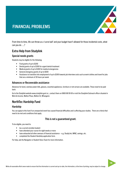# FINANCIAL PROBLEMS

From time to time, life can throw us a 'curve ball' and your budget hasn't allowed for those incidental costs, what can you do ….?

## Extra Help from Studylink

#### Special needs grants

Students may be eligible for the following:

- Food grants of up to \$200
- Dental grants of up to \$300 for urgent dental treatment
- Medical grants of up to \$300 for medical emergencies
- General emergency grants of up to \$500
- Assistance to transition into employment of up to \$300 towards job interview costs such as work clothes and travel for jobs that are a minimum of 30 hours per week

#### Advances or Recoverable assistance

Advances for bond, overdue power bills, glasses, essential appliances, furniture or rent arrears are available. These need to be paid back.

Go to the Studylink website www.studylink.govt.nz , contact them on 0800 88 99 00 or visit the Studylink Outreach officer situated in Work & Income, Walton Plaza, Walton St, Whangarei.

# NorthTec Hardship Fund

#### **Hardship**

You can apply to this fund if an unexpected event has caused financial difficulties and is affecting your studies. There are criteria that need to be met and conditions that apply.

#### This is not a guaranteed grant.

To be eligible, you need to:

- be a current enrolled student
- have attended your course for eight weeks or more
- have exhausted all other avenues of financial assistance e.g. StudyLink, WINZ, savings, etc.
- completed the Student Hardship application form.

For help, ask the Navigator or Student Voice Team for more information.

K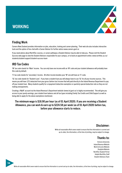# **WORKING**



# Finding Work

Careers New Zealand provides information on jobs, education, training and career-planning. Their web site also includes interactive tools and the option of live-chat with a Career Advisor for further advice www.careers.govt.nz

If you need advice about NorthTec courses, or career pathways a Student Advisor may be able to help you. Please visit the Student Success web page to view the Student Advisors responsible for your campus, or to book an appointment online: www.northtec.ac.nz/ students/student-support/student-success-team

# IRD Tax Codes

**16**

'M' tax code stands for 'Main' income. You can only have one income with an 'M' code and your student allowance will probably have this code by default.

'S' tax code stands for 'secondary' income. All other income besides your 'M' one will have an 'S' code.

'SL' tax code stands for 'Student Loan'. If you have a student loan you will always have to use 'SL' for all your income sources. This means you will have 12% deducted from your gross (before tax) income that will paid directly to the Inland Revenue Department to pay off your student loan. Many students qualify for a repayment deduction exemption or quarterly special deduction rate so they are not making overpayments.

Creating a 'MyIR' account via the Inland Revenue's Department website (www.ird.govt.nz) is highly recommended. This will give you access to your yearly earnings, your student loan balance and all tax types including Family Tax Credits and Child Support as well as being able to apply for the above exemptions mentioned.

#### The minimum wage is \$18.90 per hour (as of 01 April 2020). If you are receiving a Student Allowance, you can work & earn up to \$224.58 per week (as of 01 April 2020) before tax, before your allowance starts to reduce.

## Disclaimer:

While all reasonable efforts were made to ensure that the information is current and up-to-date, the information, at the time of printing, may be subject to change.

## Thanks to:

Victoria University Inland Revenue Website Work & Income Website Studylink Website NorthTec Student Portal Helpful NorthTec Staff Student Advisory Team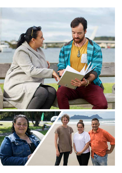